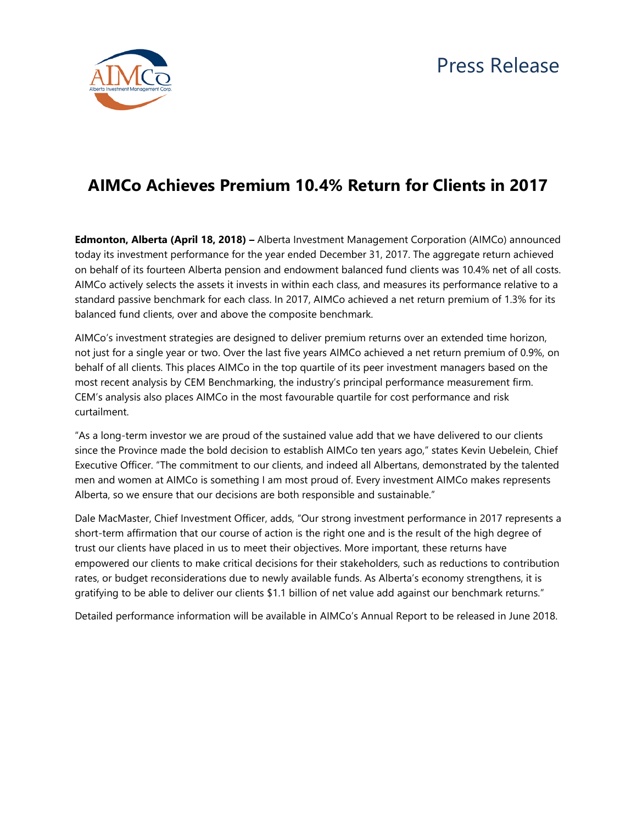

## **AIMCo Achieves Premium 10.4% Return for Clients in 2017**

**Edmonton, Alberta (April 18, 2018) –** Alberta Investment Management Corporation (AIMCo) announced today its investment performance for the year ended December 31, 2017. The aggregate return achieved on behalf of its fourteen Alberta pension and endowment balanced fund clients was 10.4% net of all costs. AIMCo actively selects the assets it invests in within each class, and measures its performance relative to a standard passive benchmark for each class. In 2017, AIMCo achieved a net return premium of 1.3% for its balanced fund clients, over and above the composite benchmark.

AIMCo's investment strategies are designed to deliver premium returns over an extended time horizon, not just for a single year or two. Over the last five years AIMCo achieved a net return premium of 0.9%, on behalf of all clients. This places AIMCo in the top quartile of its peer investment managers based on the most recent analysis by CEM Benchmarking, the industry's principal performance measurement firm. CEM's analysis also places AIMCo in the most favourable quartile for cost performance and risk curtailment.

"As a long-term investor we are proud of the sustained value add that we have delivered to our clients since the Province made the bold decision to establish AIMCo ten years ago," states Kevin Uebelein, Chief Executive Officer. "The commitment to our clients, and indeed all Albertans, demonstrated by the talented men and women at AIMCo is something I am most proud of. Every investment AIMCo makes represents Alberta, so we ensure that our decisions are both responsible and sustainable."

Dale MacMaster, Chief Investment Officer, adds, "Our strong investment performance in 2017 represents a short-term affirmation that our course of action is the right one and is the result of the high degree of trust our clients have placed in us to meet their objectives. More important, these returns have empowered our clients to make critical decisions for their stakeholders, such as reductions to contribution rates, or budget reconsiderations due to newly available funds. As Alberta's economy strengthens, it is gratifying to be able to deliver our clients \$1.1 billion of net value add against our benchmark returns."

Detailed performance information will be available in AIMCo's Annual Report to be released in June 2018.